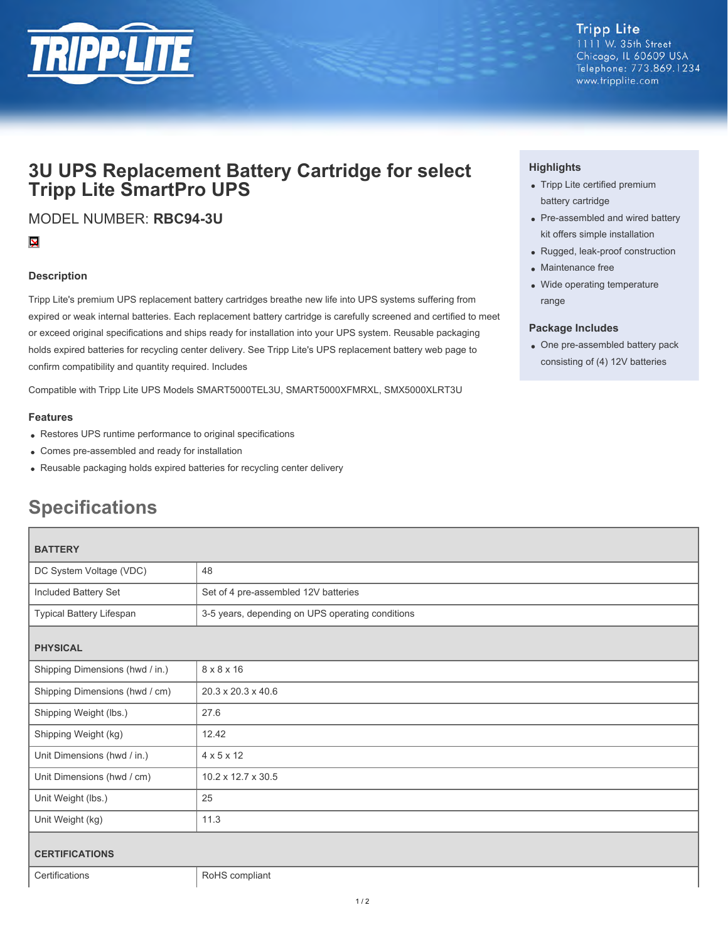

## **3U UPS Replacement Battery Cartridge for select Tripp Lite SmartPro UPS**

MODEL NUMBER: **RBC94-3U**

### $\overline{\mathbf{X}}$

#### **Description**

Tripp Lite's premium UPS replacement battery cartridges breathe new life into UPS systems suffering from expired or weak internal batteries. Each replacement battery cartridge is carefully screened and certified to meet or exceed original specifications and ships ready for installation into your UPS system. Reusable packaging holds expired batteries for recycling center delivery. See Tripp Lite's UPS replacement battery web page to confirm compatibility and quantity required. Includes

Compatible with Tripp Lite UPS Models SMART5000TEL3U, SMART5000XFMRXL, SMX5000XLRT3U

#### **Features**

- Restores UPS runtime performance to original specifications
- Comes pre-assembled and ready for installation
- Reusable packaging holds expired batteries for recycling center delivery

# **Specifications**

| <b>BATTERY</b>                  |                                                  |
|---------------------------------|--------------------------------------------------|
| DC System Voltage (VDC)         | 48                                               |
| Included Battery Set            | Set of 4 pre-assembled 12V batteries             |
| Typical Battery Lifespan        | 3-5 years, depending on UPS operating conditions |
| <b>PHYSICAL</b>                 |                                                  |
| Shipping Dimensions (hwd / in.) | $8 \times 8 \times 16$                           |
| Shipping Dimensions (hwd / cm)  | $20.3 \times 20.3 \times 40.6$                   |
| Shipping Weight (lbs.)          | 27.6                                             |
| Shipping Weight (kg)            | 12.42                                            |
| Unit Dimensions (hwd / in.)     | $4 \times 5 \times 12$                           |
| Unit Dimensions (hwd / cm)      | 10.2 x 12.7 x 30.5                               |
| Unit Weight (lbs.)              | 25                                               |
| Unit Weight (kg)                | 11.3                                             |
| <b>CERTIFICATIONS</b>           |                                                  |
| Certifications                  | RoHS compliant                                   |

#### **Highlights**

- Tripp Lite certified premium battery cartridge
- Pre-assembled and wired battery kit offers simple installation
- Rugged, leak-proof construction
- Maintenance free
- Wide operating temperature range

#### **Package Includes**

One pre-assembled battery pack consisting of (4) 12V batteries